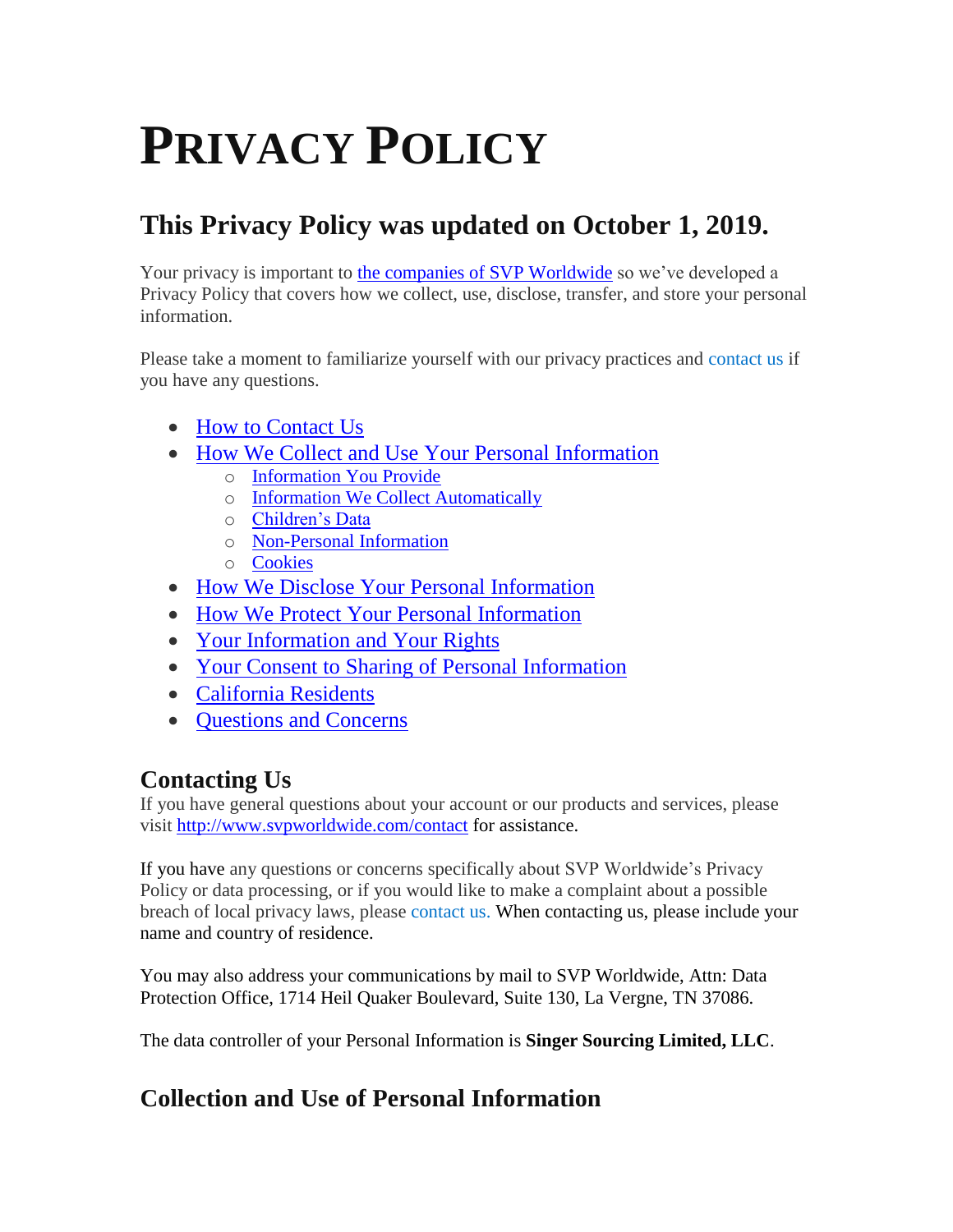# **PRIVACY POLICY**

# **This Privacy Policy was updated on October 1, 2019.**

Your privacy is important to [the companies of SVP Worldwide](http://www.svpworldwide.com/) so we've developed a Privacy Policy that covers how we collect, use, disclose, transfer, and store your personal information.

Please take a moment to familiarize yourself with our privacy practices and [contact us](mailto:privacy@svpworldwide.com?subject=Privacy%20Inquiry%20V100119) if you have any questions.

- [How to Contact Us](#page-0-0)
- [How We Collect and Use Your Personal Information](#page-0-1)
	- o [Information You Provide](#page-1-0)
	- o [Information We Collect Automatically](#page-2-0)
	- o [Children's Data](#page-3-0)
	- o [Non-Personal Information](#page-3-1)
	- o [Cookies](#page-4-0)
- <span id="page-0-0"></span>• [How We Disclose Your Personal Information](#page-5-0)
- [How We Protect Your Personal Information](#page-6-0)
- [Your Information and Your Rights](#page-6-1)
- [Your Consent to Sharing of Personal Information](#page-7-0)
- [California Residents](#page-7-1)
- [Questions and Concerns](#page-7-2)

## **Contacting Us**

If you have general questions about your account or our products and services, please visit<http://www.svpworldwide.com/contact> for assistance.

If you have any questions or concerns specifically about SVP Worldwide's Privacy Policy or data processing, or if you would like to make a complaint about a possible breach of local privacy laws, please [contact us.](mailto:privacy@svpworldwide.com?subject=Privacy%20Inquiry%20V100119) When contacting us, please include your name and country of residence.

You may also address your communications by mail to SVP Worldwide, Attn: Data Protection Office, 1714 Heil Quaker Boulevard, Suite 130, La Vergne, TN 37086.

The data controller of your Personal Information is **Singer Sourcing Limited, LLC**.

## <span id="page-0-1"></span>**Collection and Use of Personal Information**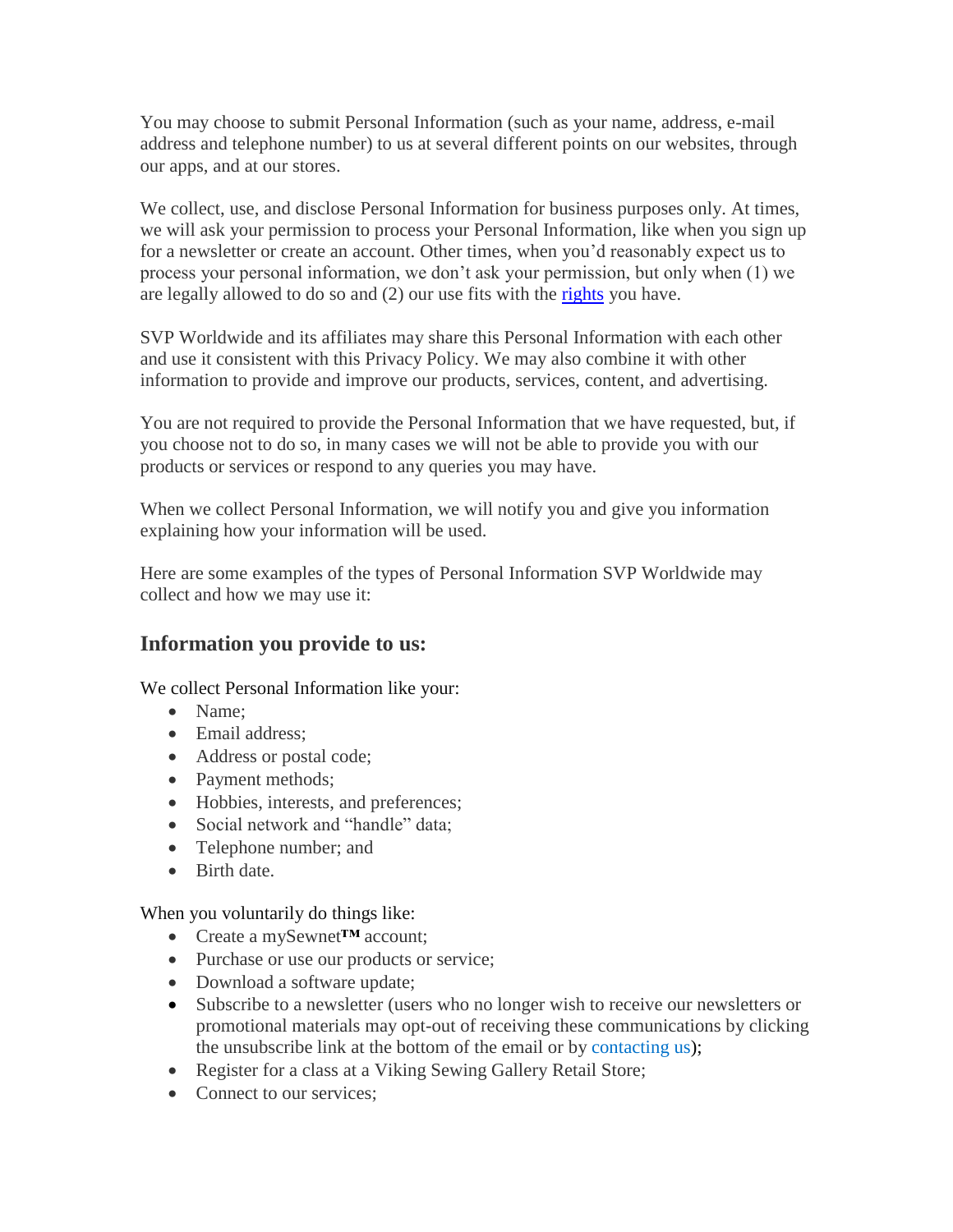You may choose to submit Personal Information (such as your name, address, e-mail address and telephone number) to us at several different points on our websites, through our apps, and at our stores.

We collect, use, and disclose Personal Information for business purposes only. At times, we will ask your permission to process your Personal Information, like when you sign up for a newsletter or create an account. Other times, when you'd reasonably expect us to process your personal information, we don't ask your permission, but only when (1) we are legally allowed to do so and (2) our use fits with the [rights](#page-6-1) you have.

SVP Worldwide and its affiliates may share this Personal Information with each other and use it consistent with this Privacy Policy. We may also combine it with other information to provide and improve our products, services, content, and advertising.

You are not required to provide the Personal Information that we have requested, but, if you choose not to do so, in many cases we will not be able to provide you with our products or services or respond to any queries you may have.

When we collect Personal Information, we will notify you and give you information explaining how your information will be used.

Here are some examples of the types of Personal Information SVP Worldwide may collect and how we may use it:

#### <span id="page-1-0"></span>**Information you provide to us:**

We collect Personal Information like your:

- Name:
- Email address:
- Address or postal code;
- Payment methods;
- Hobbies, interests, and preferences;
- Social network and "handle" data:
- Telephone number; and
- Birth date.

When you voluntarily do things like:

- Create a mySewnet**™** account;
- Purchase or use our products or service;
- Download a software update;
- Subscribe to a newsletter (users who no longer wish to receive our newsletters or promotional materials may opt-out of receiving these communications by clicking the unsubscribe link at the bottom of the email or by [contacting us\)](mailto:privacy@svpworldwide.com?subject=Privacy%20Inquiry%20V100119);
- Register for a class at a Viking Sewing Gallery Retail Store;
- Connect to our services: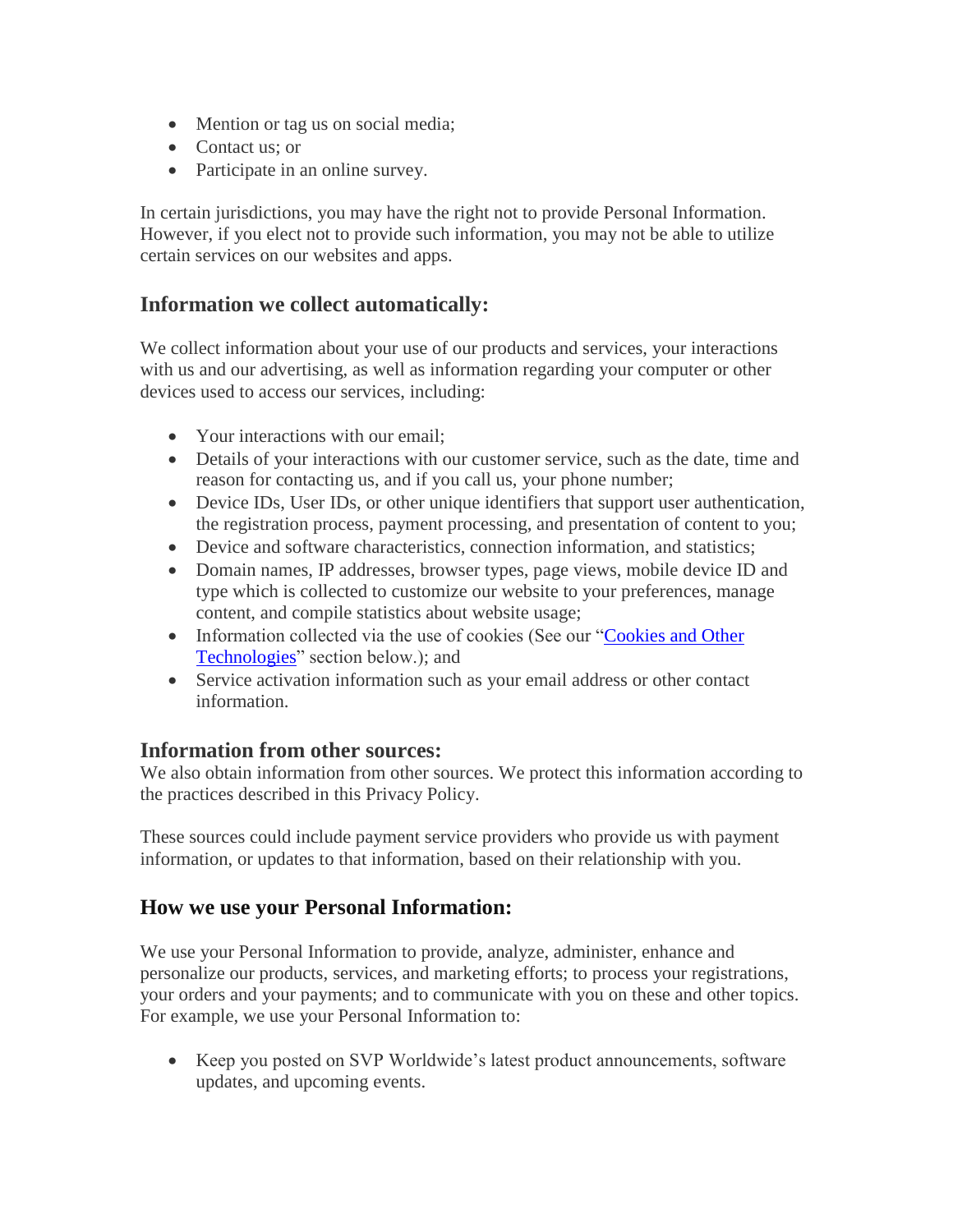- Mention or tag us on social media;
- Contact us; or
- Participate in an online survey.

In certain jurisdictions, you may have the right not to provide Personal Information. However, if you elect not to provide such information, you may not be able to utilize certain services on our websites and apps.

#### <span id="page-2-0"></span>**Information we collect automatically:**

We collect information about your use of our products and services, your interactions with us and our advertising, as well as information regarding your computer or other devices used to access our services, including:

- Your interactions with our email:
- Details of your interactions with our customer service, such as the date, time and reason for contacting us, and if you call us, your phone number;
- Device IDs, User IDs, or other unique identifiers that support user authentication, the registration process, payment processing, and presentation of content to you;
- Device and software characteristics, connection information, and statistics;
- Domain names, IP addresses, browser types, page views, mobile device ID and type which is collected to customize our website to your preferences, manage content, and compile statistics about website usage;
- Information collected via the use of cookies (See our "Cookies and Other [Technologies"](#page-4-0) section below.); and
- Service activation information such as your email address or other contact information.

#### **Information from other sources:**

We also obtain information from other sources. We protect this information according to the practices described in this Privacy Policy.

These sources could include payment service providers who provide us with payment information, or updates to that information, based on their relationship with you.

#### <span id="page-2-1"></span>**How we use your Personal Information:**

We use your Personal Information to provide, analyze, administer, enhance and personalize our products, services, and marketing efforts; to process your registrations, your orders and your payments; and to communicate with you on these and other topics. For example, we use your Personal Information to:

• Keep you posted on SVP Worldwide's latest product announcements, software updates, and upcoming events.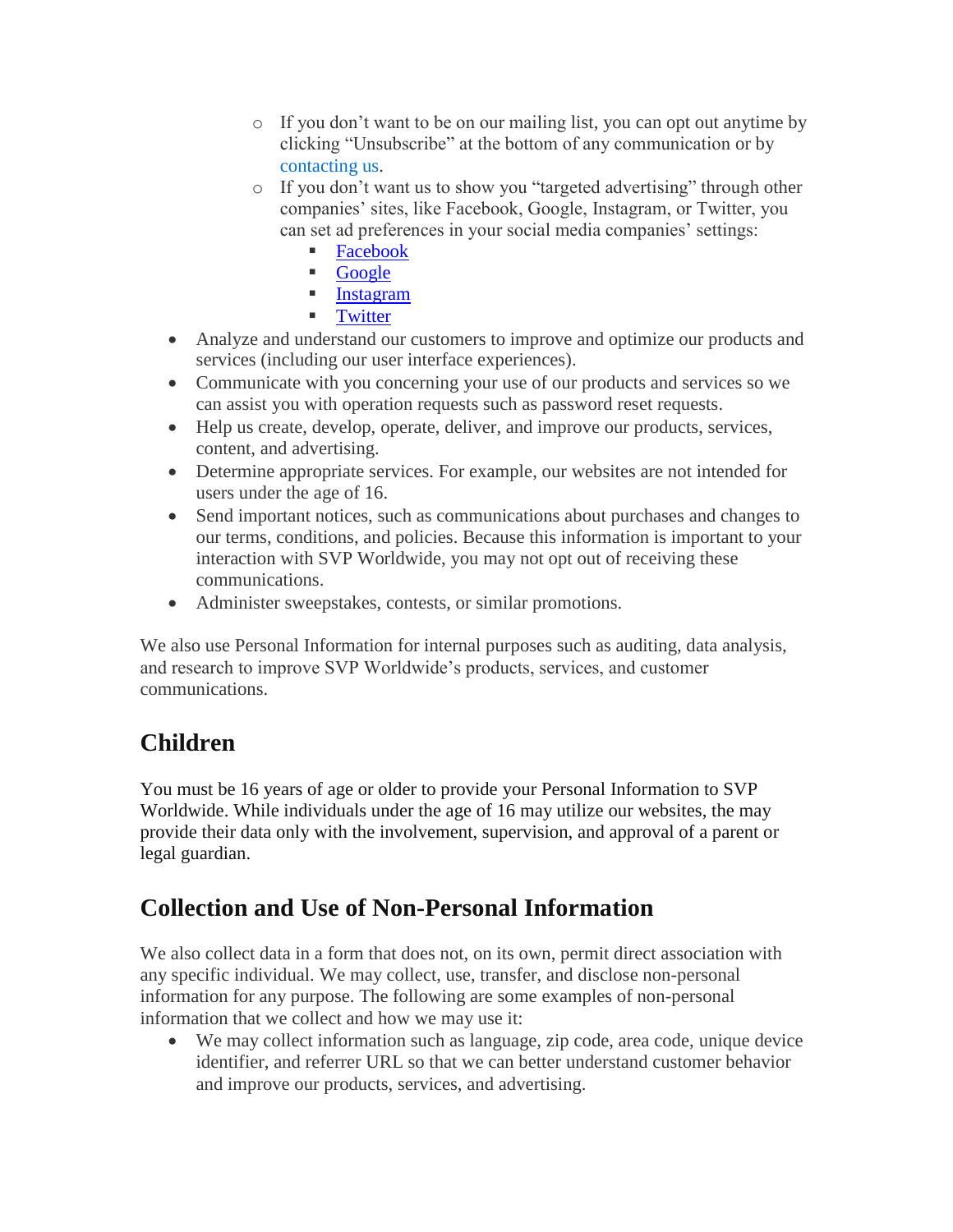- o If you don't want to be on our mailing list, you can opt out anytime by clicking "Unsubscribe" at the bottom of any communication or by [contacting us.](mailto:privacy@svpworldwide.com?subject=Privacy%20Inquiry%20V100119)
- o If you don't want us to show you "targeted advertising" through other companies' sites, like Facebook, Google, Instagram, or Twitter, you can set ad preferences in your social media companies' settings:
	- [Facebook](https://www.facebook.com/help/247395082112892?helpref=related)
	- [Google](https://adssettings.google.com/authenticated)
	- **[Instagram](https://help.instagram.com/1415228085373580)**
	- **[Twitter](https://help.twitter.com/en/safety-and-security/privacy-controls-for-tailored-ads)**
- Analyze and understand our customers to improve and optimize our products and services (including our user interface experiences).
- Communicate with you concerning your use of our products and services so we can assist you with operation requests such as password reset requests.
- Help us create, develop, operate, deliver, and improve our products, services, content, and advertising.
- Determine appropriate services. For example, our websites are not intended for users under the age of 16.
- Send important notices, such as communications about purchases and changes to our terms, conditions, and policies. Because this information is important to your interaction with SVP Worldwide, you may not opt out of receiving these communications.
- Administer sweepstakes, contests, or similar promotions.

We also use Personal Information for internal purposes such as auditing, data analysis, and research to improve SVP Worldwide's products, services, and customer communications.

## <span id="page-3-0"></span>**Children**

You must be 16 years of age or older to provide your Personal Information to SVP Worldwide. While individuals under the age of 16 may utilize our websites, the may provide their data only with the involvement, supervision, and approval of a parent or legal guardian.

## <span id="page-3-1"></span>**Collection and Use of Non-Personal Information**

We also collect data in a form that does not, on its own, permit direct association with any specific individual. We may collect, use, transfer, and disclose non-personal information for any purpose. The following are some examples of non-personal information that we collect and how we may use it:

 We may collect information such as language, zip code, area code, unique device identifier, and referrer URL so that we can better understand customer behavior and improve our products, services, and advertising.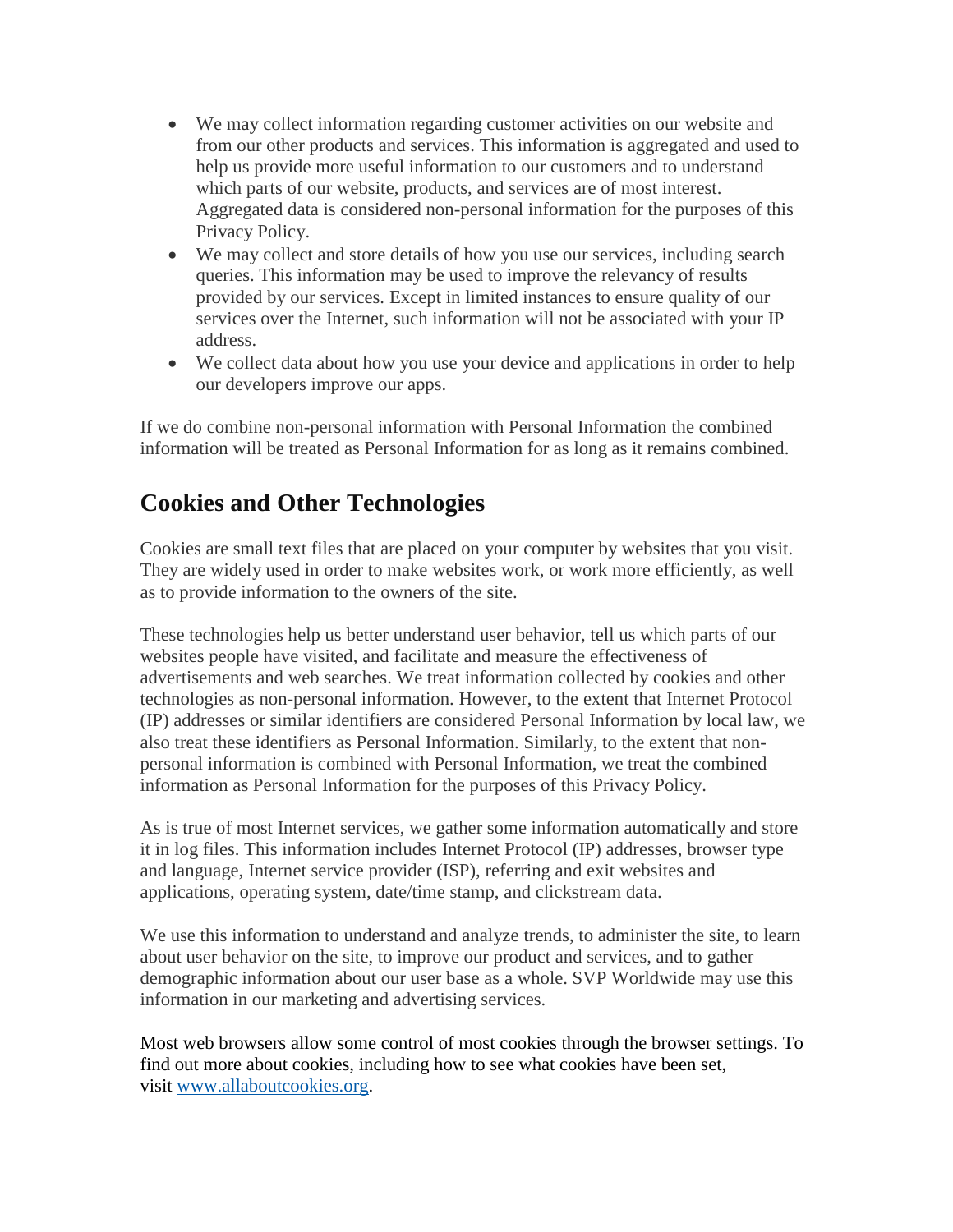- We may collect information regarding customer activities on our website and from our other products and services. This information is aggregated and used to help us provide more useful information to our customers and to understand which parts of our website, products, and services are of most interest. Aggregated data is considered non-personal information for the purposes of this Privacy Policy.
- We may collect and store details of how you use our services, including search queries. This information may be used to improve the relevancy of results provided by our services. Except in limited instances to ensure quality of our services over the Internet, such information will not be associated with your IP address.
- We collect data about how you use your device and applications in order to help our developers improve our apps.

If we do combine non-personal information with Personal Information the combined information will be treated as Personal Information for as long as it remains combined.

## <span id="page-4-0"></span>**Cookies and Other Technologies**

Cookies are small text files that are placed on your computer by websites that you visit. They are widely used in order to make websites work, or work more efficiently, as well as to provide information to the owners of the site.

These technologies help us better understand user behavior, tell us which parts of our websites people have visited, and facilitate and measure the effectiveness of advertisements and web searches. We treat information collected by cookies and other technologies as non-personal information. However, to the extent that Internet Protocol (IP) addresses or similar identifiers are considered Personal Information by local law, we also treat these identifiers as Personal Information. Similarly, to the extent that nonpersonal information is combined with Personal Information, we treat the combined information as Personal Information for the purposes of this Privacy Policy.

As is true of most Internet services, we gather some information automatically and store it in log files. This information includes Internet Protocol (IP) addresses, browser type and language, Internet service provider (ISP), referring and exit websites and applications, operating system, date/time stamp, and clickstream data.

We use this information to understand and analyze trends, to administer the site, to learn about user behavior on the site, to improve our product and services, and to gather demographic information about our user base as a whole. SVP Worldwide may use this information in our marketing and advertising services.

Most web browsers allow some control of most cookies through the browser settings. To find out more about cookies, including how to see what cookies have been set, visit [www.allaboutcookies.org.](http://www.allaboutcookies.org/)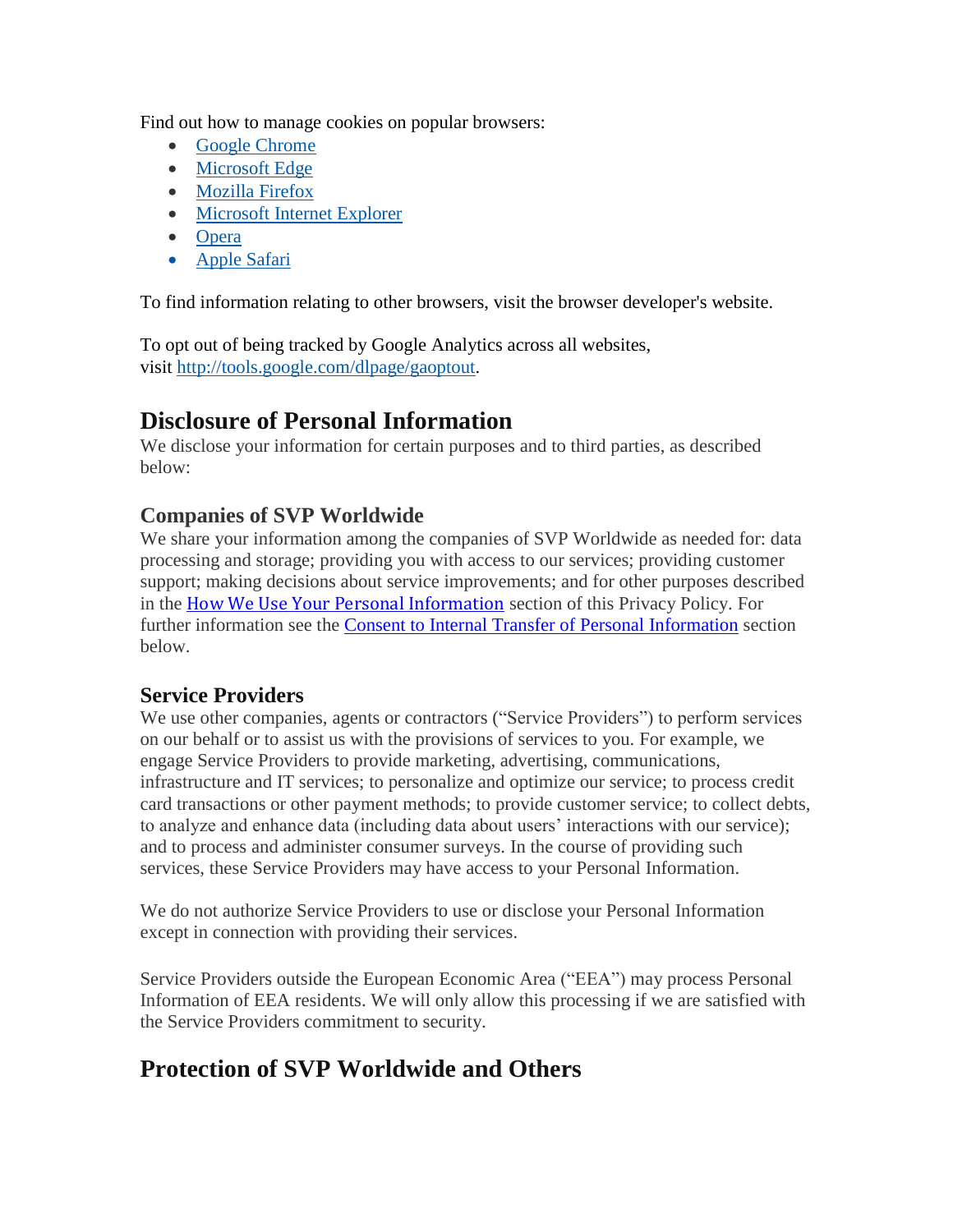Find out how to manage cookies on popular browsers:

- [Google Chrome](https://support.google.com/chrome/answer/95647?co=GENIE.Platform%3DDesktop&hl=en)
- [Microsoft Edge](https://privacy.microsoft.com/en-us/windows-10-microsoft-edge-and-privacy)
- [Mozilla Firefox](https://support.mozilla.org/en-US/kb/enable-and-disable-cookies-website-preferences)
- [Microsoft Internet Explorer](https://support.microsoft.com/en-gb/help/17442/windows-internet-explorer-delete-manage-cookies)
- [Opera](https://www.allaboutcookies.org/manage-cookies/opera.html)
- [Apple Safari](https://support.apple.com/guide/safari/manage-cookies-and-website-data-sfri11471/mac)

To find information relating to other browsers, visit the browser developer's website.

To opt out of being tracked by Google Analytics across all websites, visit [http://tools.google.com/dlpage/gaoptout.](http://tools.google.com/dlpage/gaoptout)

## <span id="page-5-0"></span>**Disclosure of Personal Information**

We disclose your information for certain purposes and to third parties, as described below:

#### **Companies of SVP Worldwide**

We share your information among the companies of SVP Worldwide as needed for: data processing and storage; providing you with access to our services; providing customer support; making decisions about service improvements; and for other purposes described in the [How We Use Your Personal Information](#page-2-1) section of this Privacy Policy. For further information see the [Consent to Internal Transfer of Personal Information](#page-7-0) section below.

#### **Service Providers**

We use other companies, agents or contractors ("Service Providers") to perform services on our behalf or to assist us with the provisions of services to you. For example, we engage Service Providers to provide marketing, advertising, communications, infrastructure and IT services; to personalize and optimize our service; to process credit card transactions or other payment methods; to provide customer service; to collect debts, to analyze and enhance data (including data about users' interactions with our service); and to process and administer consumer surveys. In the course of providing such services, these Service Providers may have access to your Personal Information.

We do not authorize Service Providers to use or disclose your Personal Information except in connection with providing their services.

Service Providers outside the European Economic Area ("EEA") may process Personal Information of EEA residents. We will only allow this processing if we are satisfied with the Service Providers commitment to security.

## **Protection of SVP Worldwide and Others**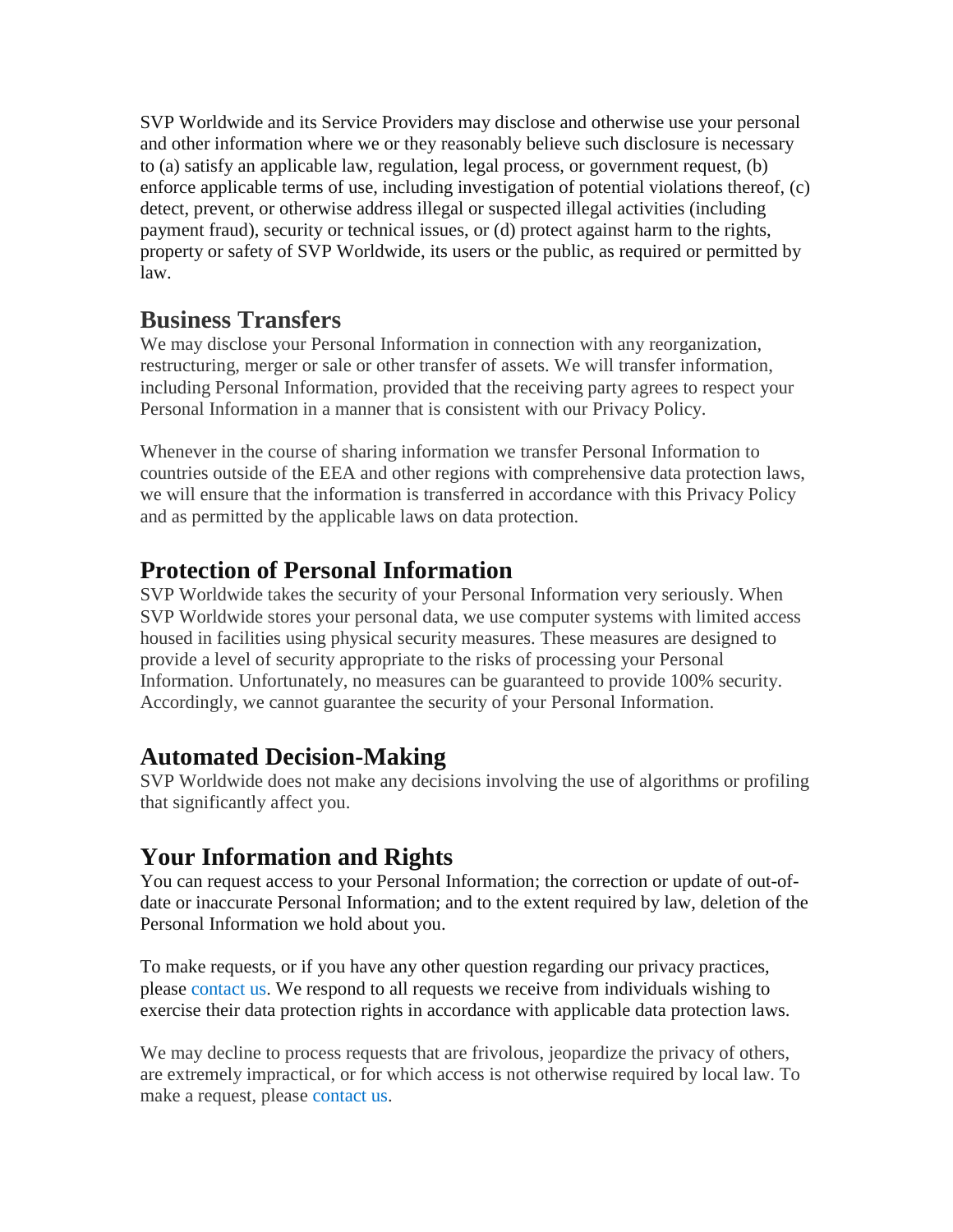SVP Worldwide and its Service Providers may disclose and otherwise use your personal and other information where we or they reasonably believe such disclosure is necessary to (a) satisfy an applicable law, regulation, legal process, or government request, (b) enforce applicable terms of use, including investigation of potential violations thereof, (c) detect, prevent, or otherwise address illegal or suspected illegal activities (including payment fraud), security or technical issues, or (d) protect against harm to the rights, property or safety of SVP Worldwide, its users or the public, as required or permitted by law.

## **Business Transfers**

We may disclose your Personal Information in connection with any reorganization, restructuring, merger or sale or other transfer of assets. We will transfer information, including Personal Information, provided that the receiving party agrees to respect your Personal Information in a manner that is consistent with our Privacy Policy.

Whenever in the course of sharing information we transfer Personal Information to countries outside of the EEA and other regions with comprehensive data protection laws, we will ensure that the information is transferred in accordance with this Privacy Policy and as permitted by the applicable laws on data protection.

## <span id="page-6-0"></span>**Protection of Personal Information**

SVP Worldwide takes the security of your Personal Information very seriously. When SVP Worldwide stores your personal data, we use computer systems with limited access housed in facilities using physical security measures. These measures are designed to provide a level of security appropriate to the risks of processing your Personal Information. Unfortunately, no measures can be guaranteed to provide 100% security. Accordingly, we cannot guarantee the security of your Personal Information.

## **Automated Decision-Making**

SVP Worldwide does not make any decisions involving the use of algorithms or profiling that significantly affect you.

## <span id="page-6-1"></span>**Your Information and Rights**

You can request access to your Personal Information; the correction or update of out-ofdate or inaccurate Personal Information; and to the extent required by law, deletion of the Personal Information we hold about you.

To make requests, or if you have any other question regarding our privacy practices, please [contact us.](mailto:privacy@svpworldwide.com?subject=Privacy%20Inquiry%20V100119) We respond to all requests we receive from individuals wishing to exercise their data protection rights in accordance with applicable data protection laws.

We may decline to process requests that are frivolous, jeopardize the privacy of others, are extremely impractical, or for which access is not otherwise required by local law. To make a request, please [contact us.](mailto:privacy@svpworldwide.com?subject=Privacy%20Inquiry%20V052518)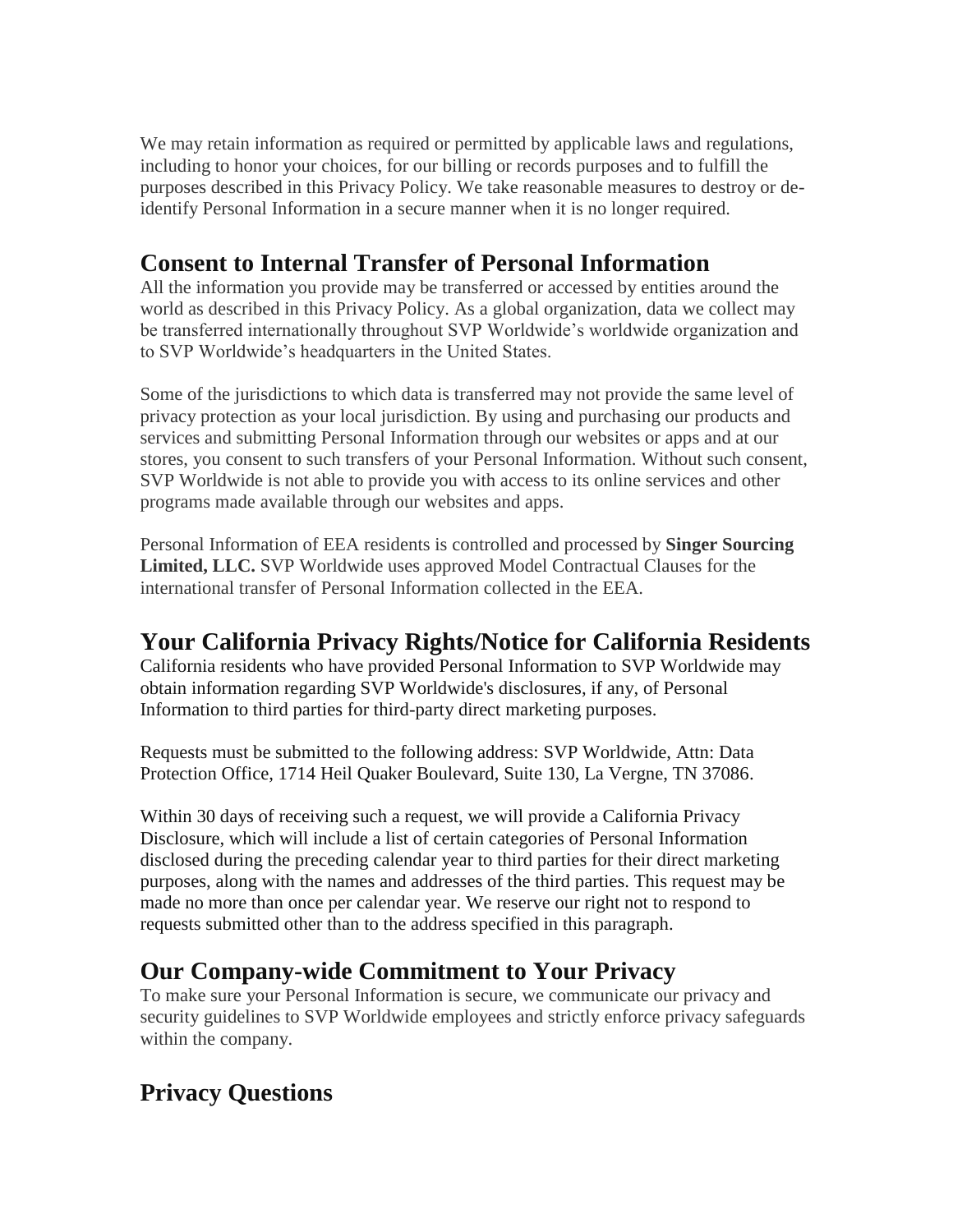We may retain information as required or permitted by applicable laws and regulations, including to honor your choices, for our billing or records purposes and to fulfill the purposes described in this Privacy Policy. We take reasonable measures to destroy or deidentify Personal Information in a secure manner when it is no longer required.

## <span id="page-7-0"></span>**Consent to Internal Transfer of Personal Information**

All the information you provide may be transferred or accessed by entities around the world as described in this Privacy Policy. As a global organization, data we collect may be transferred internationally throughout SVP Worldwide's worldwide organization and to SVP Worldwide's headquarters in the United States.

Some of the jurisdictions to which data is transferred may not provide the same level of privacy protection as your local jurisdiction. By using and purchasing our products and services and submitting Personal Information through our websites or apps and at our stores, you consent to such transfers of your Personal Information. Without such consent, SVP Worldwide is not able to provide you with access to its online services and other programs made available through our websites and apps.

<span id="page-7-1"></span>Personal Information of EEA residents is controlled and processed by **Singer Sourcing Limited, LLC.** SVP Worldwide uses approved Model Contractual Clauses for the international transfer of Personal Information collected in the EEA.

## **Your California Privacy Rights/Notice for California Residents**

California residents who have provided Personal Information to SVP Worldwide may obtain information regarding SVP Worldwide's disclosures, if any, of Personal Information to third parties for third-party direct marketing purposes.

Requests must be submitted to the following address: SVP Worldwide, Attn: Data Protection Office, 1714 Heil Quaker Boulevard, Suite 130, La Vergne, TN 37086.

Within 30 days of receiving such a request, we will provide a California Privacy Disclosure, which will include a list of certain categories of Personal Information disclosed during the preceding calendar year to third parties for their direct marketing purposes, along with the names and addresses of the third parties. This request may be made no more than once per calendar year. We reserve our right not to respond to requests submitted other than to the address specified in this paragraph.

## **Our Company-wide Commitment to Your Privacy**

To make sure your Personal Information is secure, we communicate our privacy and security guidelines to SVP Worldwide employees and strictly enforce privacy safeguards within the company.

## <span id="page-7-2"></span>**Privacy Questions**